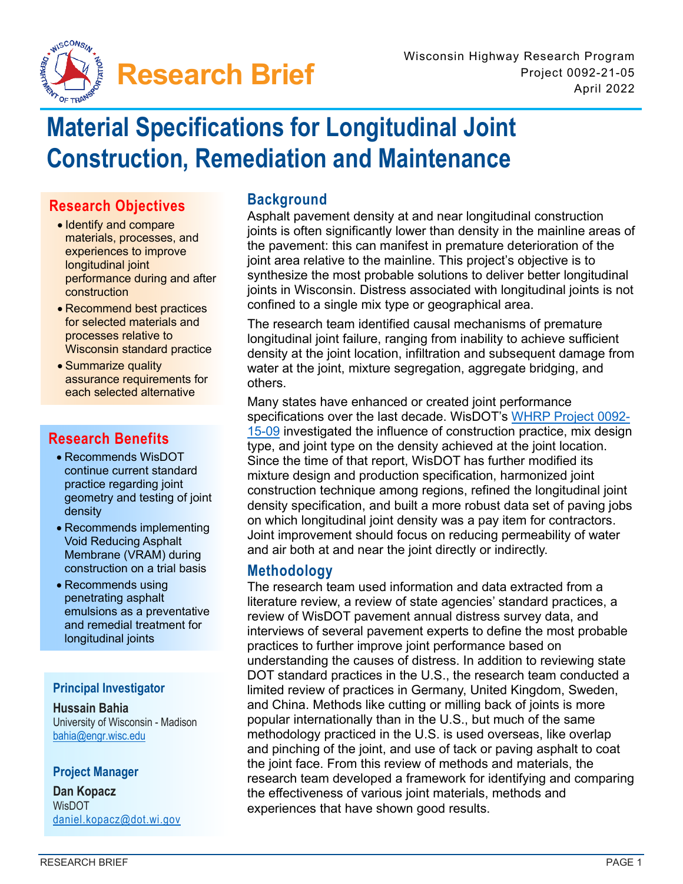

# **Material Specifications for Longitudinal Joint Construction, Remediation and Maintenance**

## **Research Objectives**

- Identify and compare materials, processes, and experiences to improve longitudinal joint performance during and after construction
- Recommend best practices for selected materials and processes relative to Wisconsin standard practice
- Summarize quality assurance requirements for each selected alternative

## **Research Benefits**

- Recommends WisDOT continue current standard practice regarding joint geometry and testing of joint density
- Recommends implementing Void Reducing Asphalt Membrane (VRAM) during construction on a trial basis
- Recommends using penetrating asphalt emulsions as a preventative and remedial treatment for longitudinal joints

#### **Principal Investigator**

### **Hussain Bahia**

University of Wisconsin - Madison [bahia@engr.wisc.edu](mailto:bahia@engr.wisc.edu) 

#### **Project Manager**

**Dan Kopacz**  WisDOT [daniel.kopacz@dot.wi.gov](mailto:daniel.kopacz@dot.wi.gov)

## **Background**

Asphalt pavement density at and near longitudinal construction joints is often significantly lower than density in the mainline areas of the pavement: this can manifest in premature deterioration of the joint area relative to the mainline. This project's objective is to synthesize the most probable solutions to deliver better longitudinal joints in Wisconsin. Distress associated with longitudinal joints is not confined to a single mix type or geographical area.

The research team identified causal mechanisms of premature longitudinal joint failure, ranging from inability to achieve sufficient density at the joint location, infiltration and subsequent damage from water at the joint, mixture segregation, aggregate bridging, and others.

Many states have enhanced or created joint performance specifications over the last decade. WisDOT's [WHRP Project 0092-](https://www.wistatedocuments.org/digital/collection/p267601coll4/search/searchterm/974715303/field/dmoclcno) [15-09](https://www.wistatedocuments.org/digital/collection/p267601coll4/search/searchterm/974715303/field/dmoclcno) investigated the influence of construction practice, mix design type, and joint type on the density achieved at the joint location. Since the time of that report, WisDOT has further modified its mixture design and production specification, harmonized joint construction technique among regions, refined the longitudinal joint density specification, and built a more robust data set of paving jobs on which longitudinal joint density was a pay item for contractors. Joint improvement should focus on reducing permeability of water and air both at and near the joint directly or indirectly.

## **Methodology**

The research team used information and data extracted from a literature review, a review of state agencies' standard practices, a review of WisDOT pavement annual distress survey data, and interviews of several pavement experts to define the most probable practices to further improve joint performance based on understanding the causes of distress. In addition to reviewing state DOT standard practices in the U.S., the research team conducted a limited review of practices in Germany, United Kingdom, Sweden, and China. Methods like cutting or milling back of joints is more popular internationally than in the U.S., but much of the same methodology practiced in the U.S. is used overseas, like overlap and pinching of the joint, and use of tack or paving asphalt to coat the joint face. From this review of methods and materials, the research team developed a framework for identifying and comparing the effectiveness of various joint materials, methods and experiences that have shown good results.